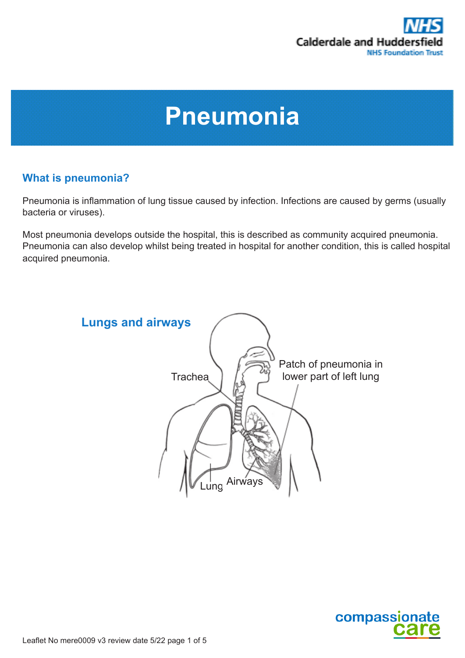

# **Pneumonia**

## **What is pneumonia?**

Pneumonia is inflammation of lung tissue caused by infection. Infections are caused by germs (usually bacteria or viruses).

Most pneumonia develops outside the hospital, this is described as community acquired pneumonia. Pneumonia can also develop whilst being treated in hospital for another condition, this is called hospital acquired pneumonia.



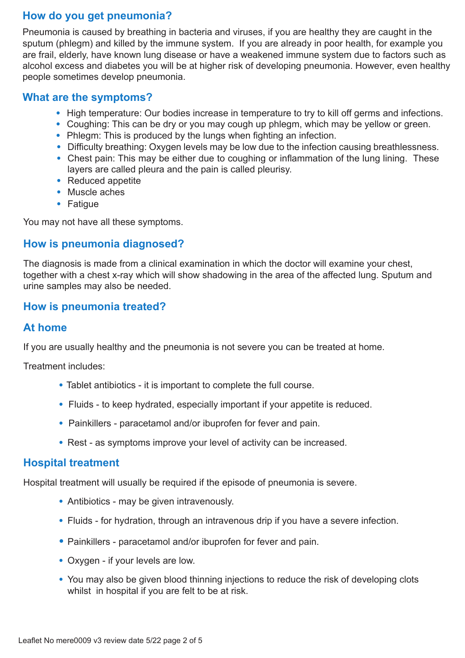## **How do you get pneumonia?**

Pneumonia is caused by breathing in bacteria and viruses, if you are healthy they are caught in the sputum (phlegm) and killed by the immune system. If you are already in poor health, for example you are frail, elderly, have known lung disease or have a weakened immune system due to factors such as alcohol excess and diabetes you will be at higher risk of developing pneumonia. However, even healthy people sometimes develop pneumonia.

#### **What are the symptoms?**

- High temperature: Our bodies increase in temperature to try to kill off germs and infections.
- Coughing: This can be dry or you may cough up phlegm, which may be yellow or green.
- Phlegm: This is produced by the lungs when fighting an infection.
- Difficulty breathing: Oxygen levels may be low due to the infection causing breathlessness.
- Chest pain: This may be either due to coughing or inflammation of the lung lining. These layers are called pleura and the pain is called pleurisy.
- Reduced appetite
- Muscle aches
- Fatigue

You may not have all these symptoms.

#### **How is pneumonia diagnosed?**

The diagnosis is made from a clinical examination in which the doctor will examine your chest, together with a chest x-ray which will show shadowing in the area of the affected lung. Sputum and urine samples may also be needed.

#### **How is pneumonia treated?**

#### **At home**

If you are usually healthy and the pneumonia is not severe you can be treated at home.

Treatment includes:

- Tablet antibiotics it is important to complete the full course.
- Fluids to keep hydrated, especially important if your appetite is reduced.
- Painkillers paracetamol and/or ibuprofen for fever and pain.
- Rest as symptoms improve your level of activity can be increased.

#### **Hospital treatment**

Hospital treatment will usually be required if the episode of pneumonia is severe.

- Antibiotics may be given intravenously.
- Fluids for hydration, through an intravenous drip if you have a severe infection.
- Painkillers paracetamol and/or ibuprofen for fever and pain.
- Oxygen if your levels are low.
- You may also be given blood thinning injections to reduce the risk of developing clots whilst in hospital if you are felt to be at risk.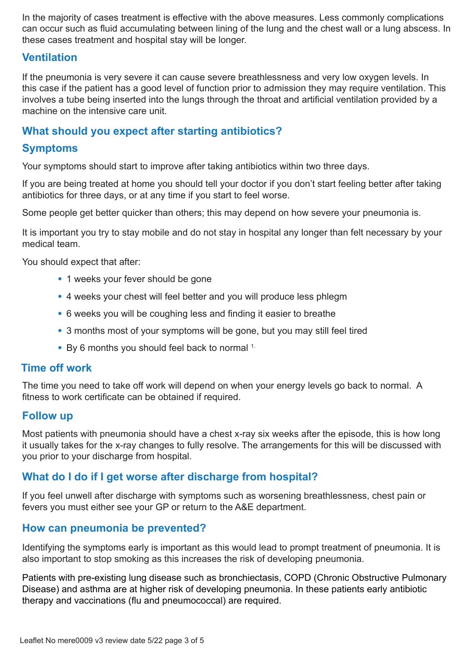In the majority of cases treatment is effective with the above measures. Less commonly complications can occur such as fluid accumulating between lining of the lung and the chest wall or a lung abscess. In these cases treatment and hospital stay will be longer.

### **Ventilation**

If the pneumonia is very severe it can cause severe breathlessness and very low oxygen levels. In this case if the patient has a good level of function prior to admission they may require ventilation. This involves a tube being inserted into the lungs through the throat and artificial ventilation provided by a machine on the intensive care unit.

#### **What should you expect after starting antibiotics?**

#### **Symptoms**

Your symptoms should start to improve after taking antibiotics within two three days.

If you are being treated at home you should tell your doctor if you don't start feeling better after taking antibiotics for three days, or at any time if you start to feel worse.

Some people get better quicker than others; this may depend on how severe your pneumonia is.

It is important you try to stay mobile and do not stay in hospital any longer than felt necessary by your medical team.

You should expect that after:

- 1 weeks your fever should be gone
- 4 weeks your chest will feel better and you will produce less phlegm
- 6 weeks you will be coughing less and finding it easier to breathe
- 3 months most of your symptoms will be gone, but you may still feel tired
- By 6 months you should feel back to normal <sup>1.</sup>

#### **Time off work**

The time you need to take off work will depend on when your energy levels go back to normal. A fitness to work certificate can be obtained if required.

#### **Follow up**

Most patients with pneumonia should have a chest x-ray six weeks after the episode, this is how long it usually takes for the x-ray changes to fully resolve. The arrangements for this will be discussed with you prior to your discharge from hospital.

## **What do I do if I get worse after discharge from hospital?**

If you feel unwell after discharge with symptoms such as worsening breathlessness, chest pain or fevers you must either see your GP or return to the A&E department.

#### **How can pneumonia be prevented?**

Identifying the symptoms early is important as this would lead to prompt treatment of pneumonia. It is also important to stop smoking as this increases the risk of developing pneumonia.

Patients with pre-existing lung disease such as bronchiectasis, COPD (Chronic Obstructive Pulmonary Disease) and asthma are at higher risk of developing pneumonia. In these patients early antibiotic therapy and vaccinations (flu and pneumococcal) are required.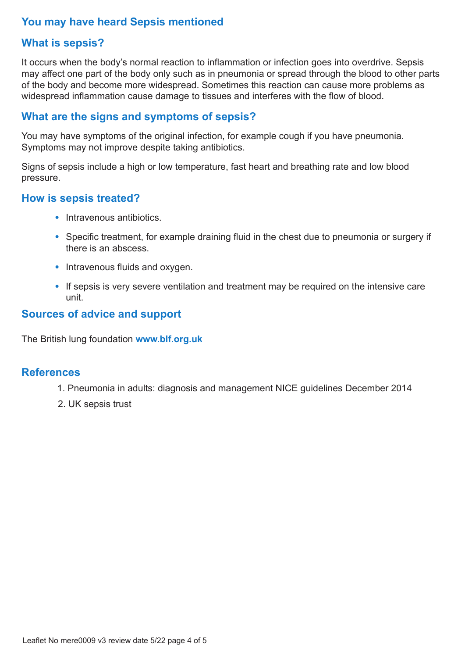## **You may have heard Sepsis mentioned**

## **What is sepsis?**

It occurs when the body's normal reaction to inflammation or infection goes into overdrive. Sepsis may affect one part of the body only such as in pneumonia or spread through the blood to other parts of the body and become more widespread. Sometimes this reaction can cause more problems as widespread inflammation cause damage to tissues and interferes with the flow of blood.

### **What are the signs and symptoms of sepsis?**

You may have symptoms of the original infection, for example cough if you have pneumonia. Symptoms may not improve despite taking antibiotics.

Signs of sepsis include a high or low temperature, fast heart and breathing rate and low blood pressure.

#### **How is sepsis treated?**

- Intravenous antibiotics.
- Specific treatment, for example draining fluid in the chest due to pneumonia or surgery if there is an abscess.
- Intravenous fluids and oxygen.
- If sepsis is very severe ventilation and treatment may be required on the intensive care unit.

### **Sources of advice and support**

The British lung foundation **www.blf.org.uk** 

#### **References**

- 1. Pneumonia in adults: diagnosis and management NICE guidelines December 2014
- 2. UK sepsis trust